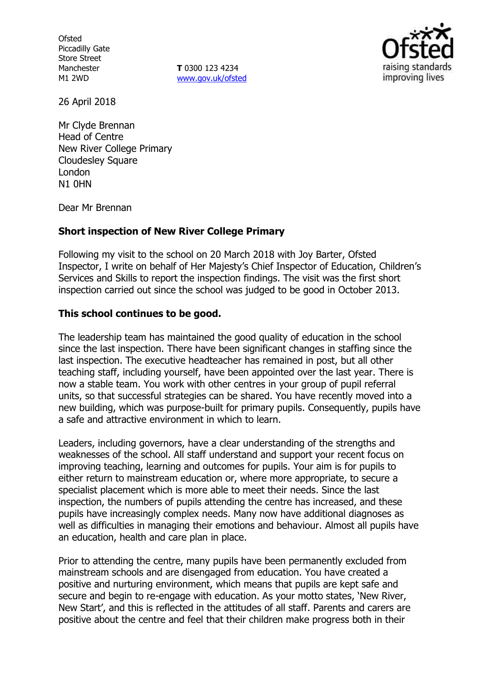**Ofsted** Piccadilly Gate Store Street Manchester M1 2WD

**T** 0300 123 4234 www.gov.uk/ofsted



26 April 2018

Mr Clyde Brennan Head of Centre New River College Primary Cloudesley Square London N1 0HN

Dear Mr Brennan

## **Short inspection of New River College Primary**

Following my visit to the school on 20 March 2018 with Joy Barter, Ofsted Inspector, I write on behalf of Her Majesty's Chief Inspector of Education, Children's Services and Skills to report the inspection findings. The visit was the first short inspection carried out since the school was judged to be good in October 2013.

## **This school continues to be good.**

The leadership team has maintained the good quality of education in the school since the last inspection. There have been significant changes in staffing since the last inspection. The executive headteacher has remained in post, but all other teaching staff, including yourself, have been appointed over the last year. There is now a stable team. You work with other centres in your group of pupil referral units, so that successful strategies can be shared. You have recently moved into a new building, which was purpose-built for primary pupils. Consequently, pupils have a safe and attractive environment in which to learn.

Leaders, including governors, have a clear understanding of the strengths and weaknesses of the school. All staff understand and support your recent focus on improving teaching, learning and outcomes for pupils. Your aim is for pupils to either return to mainstream education or, where more appropriate, to secure a specialist placement which is more able to meet their needs. Since the last inspection, the numbers of pupils attending the centre has increased, and these pupils have increasingly complex needs. Many now have additional diagnoses as well as difficulties in managing their emotions and behaviour. Almost all pupils have an education, health and care plan in place.

Prior to attending the centre, many pupils have been permanently excluded from mainstream schools and are disengaged from education. You have created a positive and nurturing environment, which means that pupils are kept safe and secure and begin to re-engage with education. As your motto states, 'New River, New Start', and this is reflected in the attitudes of all staff. Parents and carers are positive about the centre and feel that their children make progress both in their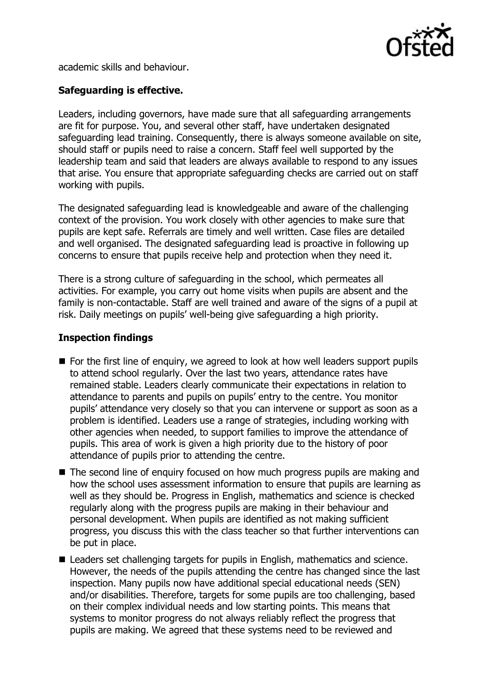

academic skills and behaviour.

# **Safeguarding is effective.**

Leaders, including governors, have made sure that all safeguarding arrangements are fit for purpose. You, and several other staff, have undertaken designated safeguarding lead training. Consequently, there is always someone available on site, should staff or pupils need to raise a concern. Staff feel well supported by the leadership team and said that leaders are always available to respond to any issues that arise. You ensure that appropriate safeguarding checks are carried out on staff working with pupils.

The designated safeguarding lead is knowledgeable and aware of the challenging context of the provision. You work closely with other agencies to make sure that pupils are kept safe. Referrals are timely and well written. Case files are detailed and well organised. The designated safeguarding lead is proactive in following up concerns to ensure that pupils receive help and protection when they need it.

There is a strong culture of safeguarding in the school, which permeates all activities. For example, you carry out home visits when pupils are absent and the family is non-contactable. Staff are well trained and aware of the signs of a pupil at risk. Daily meetings on pupils' well-being give safeguarding a high priority.

## **Inspection findings**

- $\blacksquare$  For the first line of enquiry, we agreed to look at how well leaders support pupils to attend school regularly. Over the last two years, attendance rates have remained stable. Leaders clearly communicate their expectations in relation to attendance to parents and pupils on pupils' entry to the centre. You monitor pupils' attendance very closely so that you can intervene or support as soon as a problem is identified. Leaders use a range of strategies, including working with other agencies when needed, to support families to improve the attendance of pupils. This area of work is given a high priority due to the history of poor attendance of pupils prior to attending the centre.
- The second line of enguiry focused on how much progress pupils are making and how the school uses assessment information to ensure that pupils are learning as well as they should be. Progress in English, mathematics and science is checked regularly along with the progress pupils are making in their behaviour and personal development. When pupils are identified as not making sufficient progress, you discuss this with the class teacher so that further interventions can be put in place.
- Leaders set challenging targets for pupils in English, mathematics and science. However, the needs of the pupils attending the centre has changed since the last inspection. Many pupils now have additional special educational needs (SEN) and/or disabilities. Therefore, targets for some pupils are too challenging, based on their complex individual needs and low starting points. This means that systems to monitor progress do not always reliably reflect the progress that pupils are making. We agreed that these systems need to be reviewed and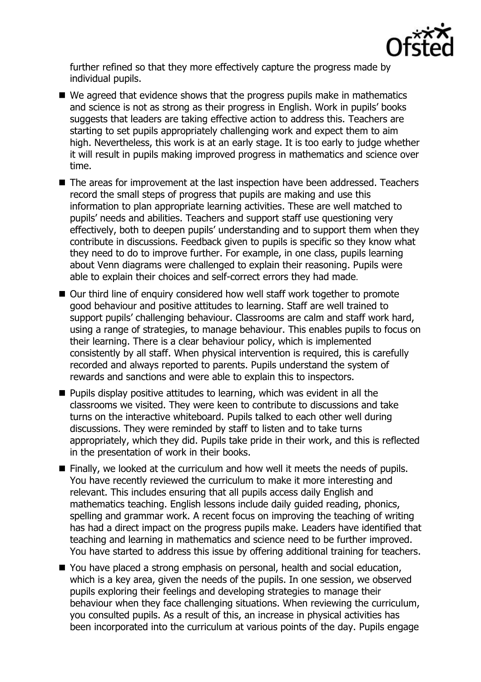

further refined so that they more effectively capture the progress made by individual pupils.

- We agreed that evidence shows that the progress pupils make in mathematics and science is not as strong as their progress in English. Work in pupils' books suggests that leaders are taking effective action to address this. Teachers are starting to set pupils appropriately challenging work and expect them to aim high. Nevertheless, this work is at an early stage. It is too early to judge whether it will result in pupils making improved progress in mathematics and science over time.
- The areas for improvement at the last inspection have been addressed. Teachers record the small steps of progress that pupils are making and use this information to plan appropriate learning activities. These are well matched to pupils' needs and abilities. Teachers and support staff use questioning very effectively, both to deepen pupils' understanding and to support them when they contribute in discussions. Feedback given to pupils is specific so they know what they need to do to improve further. For example, in one class, pupils learning about Venn diagrams were challenged to explain their reasoning. Pupils were able to explain their choices and self-correct errors they had made.
- Our third line of enquiry considered how well staff work together to promote good behaviour and positive attitudes to learning. Staff are well trained to support pupils' challenging behaviour. Classrooms are calm and staff work hard, using a range of strategies, to manage behaviour. This enables pupils to focus on their learning. There is a clear behaviour policy, which is implemented consistently by all staff. When physical intervention is required, this is carefully recorded and always reported to parents. Pupils understand the system of rewards and sanctions and were able to explain this to inspectors.
- **Pupils display positive attitudes to learning, which was evident in all the** classrooms we visited. They were keen to contribute to discussions and take turns on the interactive whiteboard. Pupils talked to each other well during discussions. They were reminded by staff to listen and to take turns appropriately, which they did. Pupils take pride in their work, and this is reflected in the presentation of work in their books.
- Finally, we looked at the curriculum and how well it meets the needs of pupils. You have recently reviewed the curriculum to make it more interesting and relevant. This includes ensuring that all pupils access daily English and mathematics teaching. English lessons include daily guided reading, phonics, spelling and grammar work. A recent focus on improving the teaching of writing has had a direct impact on the progress pupils make. Leaders have identified that teaching and learning in mathematics and science need to be further improved. You have started to address this issue by offering additional training for teachers.
- You have placed a strong emphasis on personal, health and social education, which is a key area, given the needs of the pupils. In one session, we observed pupils exploring their feelings and developing strategies to manage their behaviour when they face challenging situations. When reviewing the curriculum, you consulted pupils. As a result of this, an increase in physical activities has been incorporated into the curriculum at various points of the day. Pupils engage